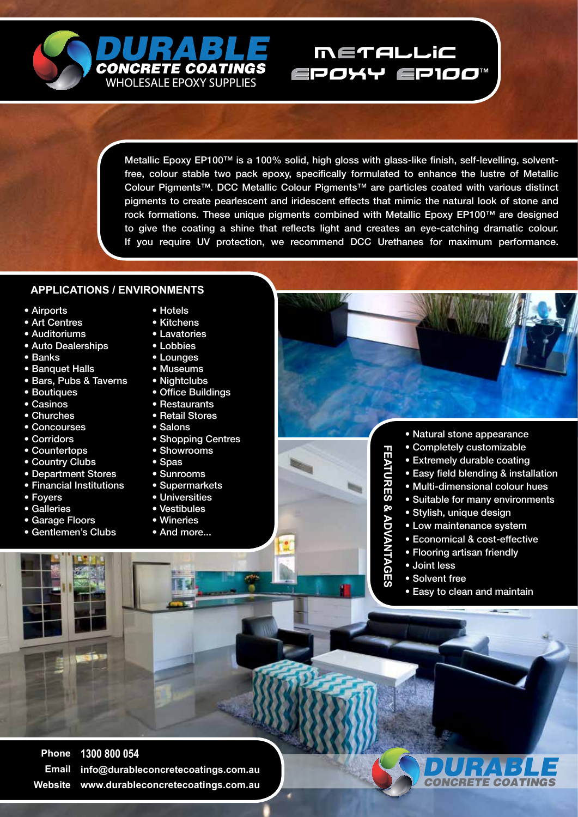

Metallic Epoxy EP100™ is a 100% solid, high gloss with glass-like finish, self-levelling, solventfree, colour stable two pack epoxy, specifically formulated to enhance the lustre of Metallic Colour Pigments™. DCC Metallic Colour Pigments™ are particles coated with various distinct pigments to create pearlescent and iridescent effects that mimic the natural look of stone and rock formations. These unique pigments combined with Metallic Epoxy EP100™ are designed to give the coating a shine that reflects light and creates an eye-catching dramatic colour. If you require UV protection, we recommend DCC Urethanes for maximum performance.

METALLIC

EPOXY EP100

## **APPLICATIONS / ENVIRONMENTS**

- Airports
- Art Centres
- Auditoriums
- Auto Dealerships
- Banks
- Banquet Halls
- Bars, Pubs & Taverns
- Boutiques
- Casinos
- Churches
- Concourses
- Corridors
- Countertops
- Country Clubs
- Department Stores
- Financial Institutions
- Foyers
- Galleries
- Garage Floors
- Gentlemen's Clubs
- Hotels
- Kitchens
- Lavatories
- Lobbies
- Lounges
- Museums
- Nightclubs
- Office Buildings
- Restaurants
- Retail Stores
- Salons
	- Shopping Centres
	- Showrooms
	- Spas
	- Sunrooms
	- Supermarkets
	- Universities
	- Vestibules
	- Wineries
	- And more...
- Natural stone appearance
- - Extremely durable coating
- Easy field blending & installation
- Multi-dimensional colour hues
- Suitable for many environments
- Stylish, unique design
- Low maintenance system
- Economical & cost-effective
- Flooring artisan friendly
- 
- 
- 

**Phone Email Website www.durableconcretecoatings.com.au1300 800 054 info@durableconcretecoatings.com.au**



- **FEATURES & ADVANTAGES FEATURES & ADVANTAGES**
	-
	-
	- Joint less
	- Solvent free
	- Easy to clean and maintain

• Completely customizable